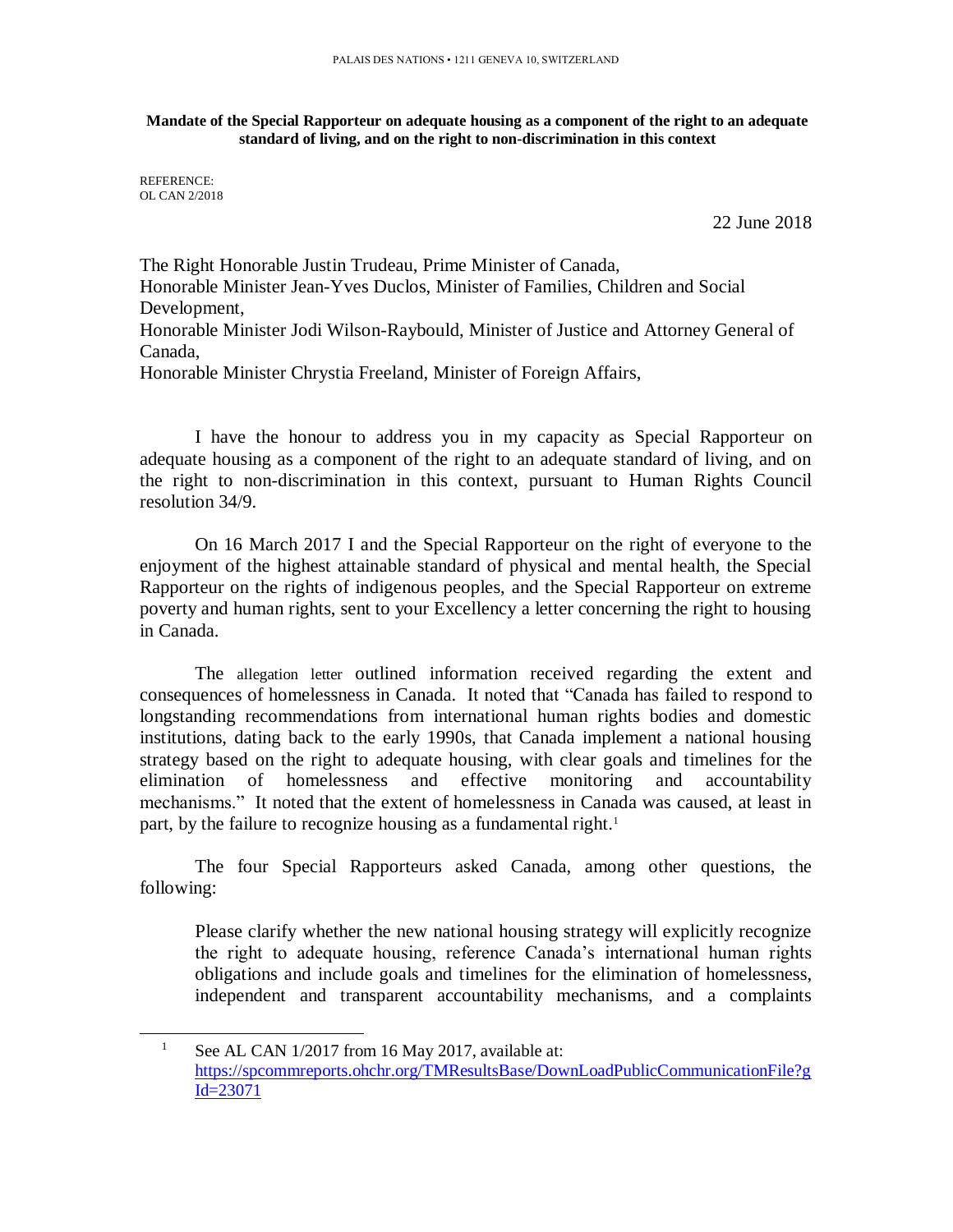**Mandate of the Special Rapporteur on adequate housing as a component of the right to an adequate standard of living, and on the right to non-discrimination in this context**

REFERENCE: OL CAN 2/2018

l

22 June 2018

The Right Honorable Justin Trudeau, Prime Minister of Canada, Honorable Minister Jean-Yves Duclos, Minister of Families, Children and Social Development, Honorable Minister Jodi Wilson-Raybould, Minister of Justice and Attorney General of Canada, Honorable Minister Chrystia Freeland, Minister of Foreign Affairs,

I have the honour to address you in my capacity as Special Rapporteur on adequate housing as a component of the right to an adequate standard of living, and on the right to non-discrimination in this context, pursuant to Human Rights Council resolution 34/9.

On 16 March 2017 I and the Special Rapporteur on the right of everyone to the enjoyment of the highest attainable standard of physical and mental health, the Special Rapporteur on the rights of indigenous peoples, and the Special Rapporteur on extreme poverty and human rights, sent to your Excellency a letter concerning the right to housing in Canada.

The [allegation letter](https://spcommreports.ohchr.org/TMResultsBase/DownLoadPublicCommunicationFile?gId=23071) outlined information received regarding the extent and consequences of homelessness in Canada. It noted that "Canada has failed to respond to longstanding recommendations from international human rights bodies and domestic institutions, dating back to the early 1990s, that Canada implement a national housing strategy based on the right to adequate housing, with clear goals and timelines for the elimination of homelessness and effective monitoring and accountability mechanisms." It noted that the extent of homelessness in Canada was caused, at least in part, by the failure to recognize housing as a fundamental right.<sup>1</sup>

The four Special Rapporteurs asked Canada, among other questions, the following:

Please clarify whether the new national housing strategy will explicitly recognize the right to adequate housing, reference Canada's international human rights obligations and include goals and timelines for the elimination of homelessness, independent and transparent accountability mechanisms, and a complaints

<sup>&</sup>lt;sup>1</sup> See AL CAN 1/2017 from 16 May 2017, available at: [https://spcommreports.ohchr.org/TMResultsBase/DownLoadPublicCommunicationFile?g](https://spcommreports.ohchr.org/TMResultsBase/DownLoadPublicCommunicationFile?gId=23071) [Id=23071](https://spcommreports.ohchr.org/TMResultsBase/DownLoadPublicCommunicationFile?gId=23071)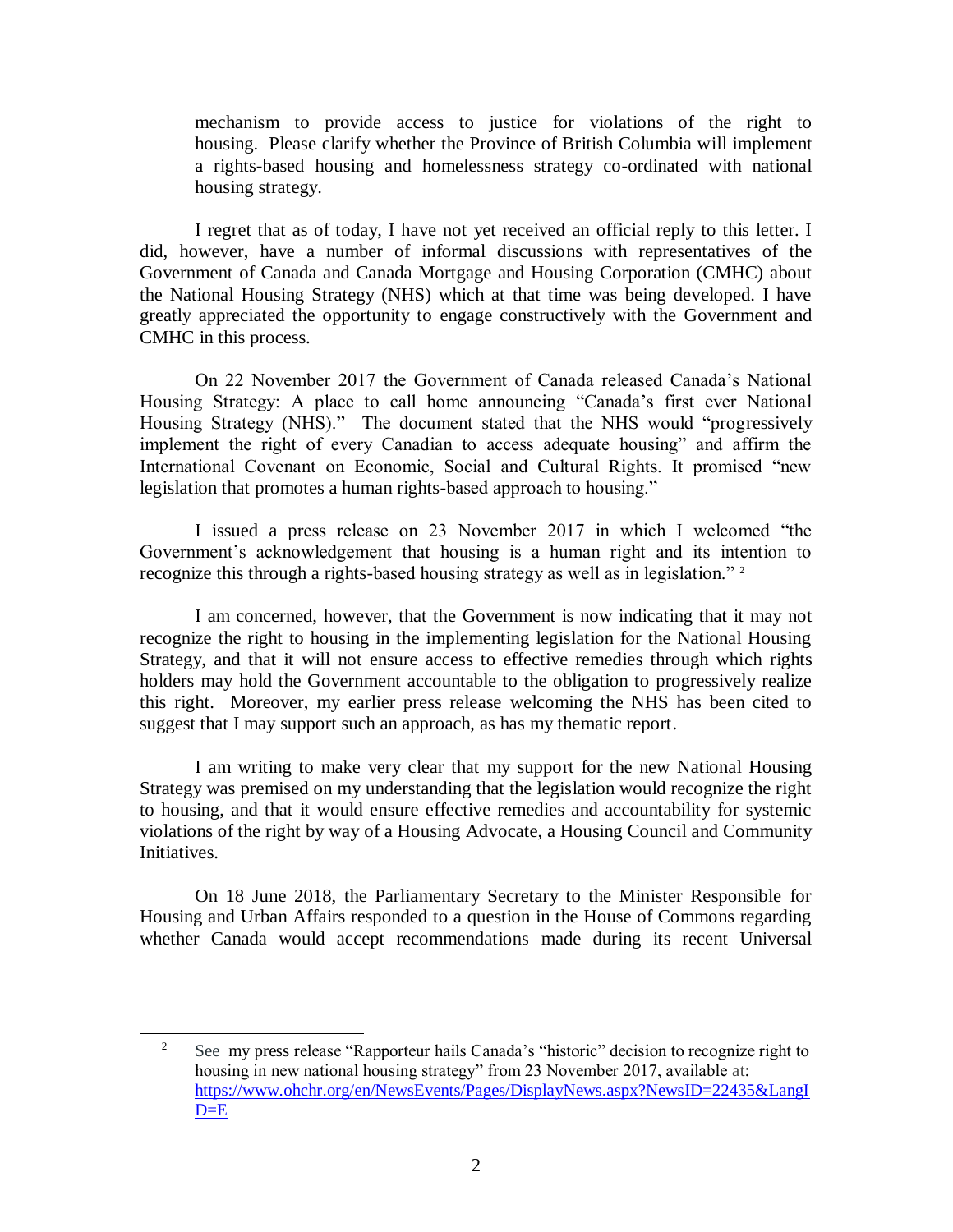mechanism to provide access to justice for violations of the right to housing. Please clarify whether the Province of British Columbia will implement a rights-based housing and homelessness strategy co-ordinated with national housing strategy.

I regret that as of today, I have not yet received an official reply to this letter. I did, however, have a number of informal discussions with representatives of the Government of Canada and Canada Mortgage and Housing Corporation (CMHC) about the National Housing Strategy (NHS) which at that time was being developed. I have greatly appreciated the opportunity to engage constructively with the Government and CMHC in this process.

On 22 November 2017 the Government of Canada released Canada's National Housing Strategy: A place to call home announcing "Canada's first ever National Housing Strategy (NHS)." The document stated that the NHS would "progressively implement the right of every Canadian to access adequate housing" and affirm the International Covenant on Economic, Social and Cultural Rights. It promised "new legislation that promotes a human rights-based approach to housing."

I issued a press release on 23 November 2017 in which I welcomed "the Government's acknowledgement that housing is a human right and its intention to recognize this through a rights-based housing strategy as well as in legislation." <sup>2</sup>

I am concerned, however, that the Government is now indicating that it may not recognize the right to housing in the implementing legislation for the National Housing Strategy, and that it will not ensure access to effective remedies through which rights holders may hold the Government accountable to the obligation to progressively realize this right. Moreover, my earlier press release welcoming the NHS has been cited to suggest that I may support such an approach, as has my thematic report.

I am writing to make very clear that my support for the new National Housing Strategy was premised on my understanding that the legislation would recognize the right to housing, and that it would ensure effective remedies and accountability for systemic violations of the right by way of a Housing Advocate, a Housing Council and Community Initiatives.

On 18 June 2018, the Parliamentary Secretary to the Minister Responsible for Housing and Urban Affairs responded to a question in the House of Commons regarding whether Canada would accept recommendations made during its recent Universal

l

<sup>&</sup>lt;sup>2</sup> See my press release "Rapporteur hails Canada's "historic" decision to recognize right to housing in new national housing strategy" from 23 November 2017, available at: [https://www.ohchr.org/en/NewsEvents/Pages/DisplayNews.aspx?NewsID=22435&LangI](https://www.ohchr.org/en/NewsEvents/Pages/DisplayNews.aspx?NewsID=22435&LangID=E)  $D= E$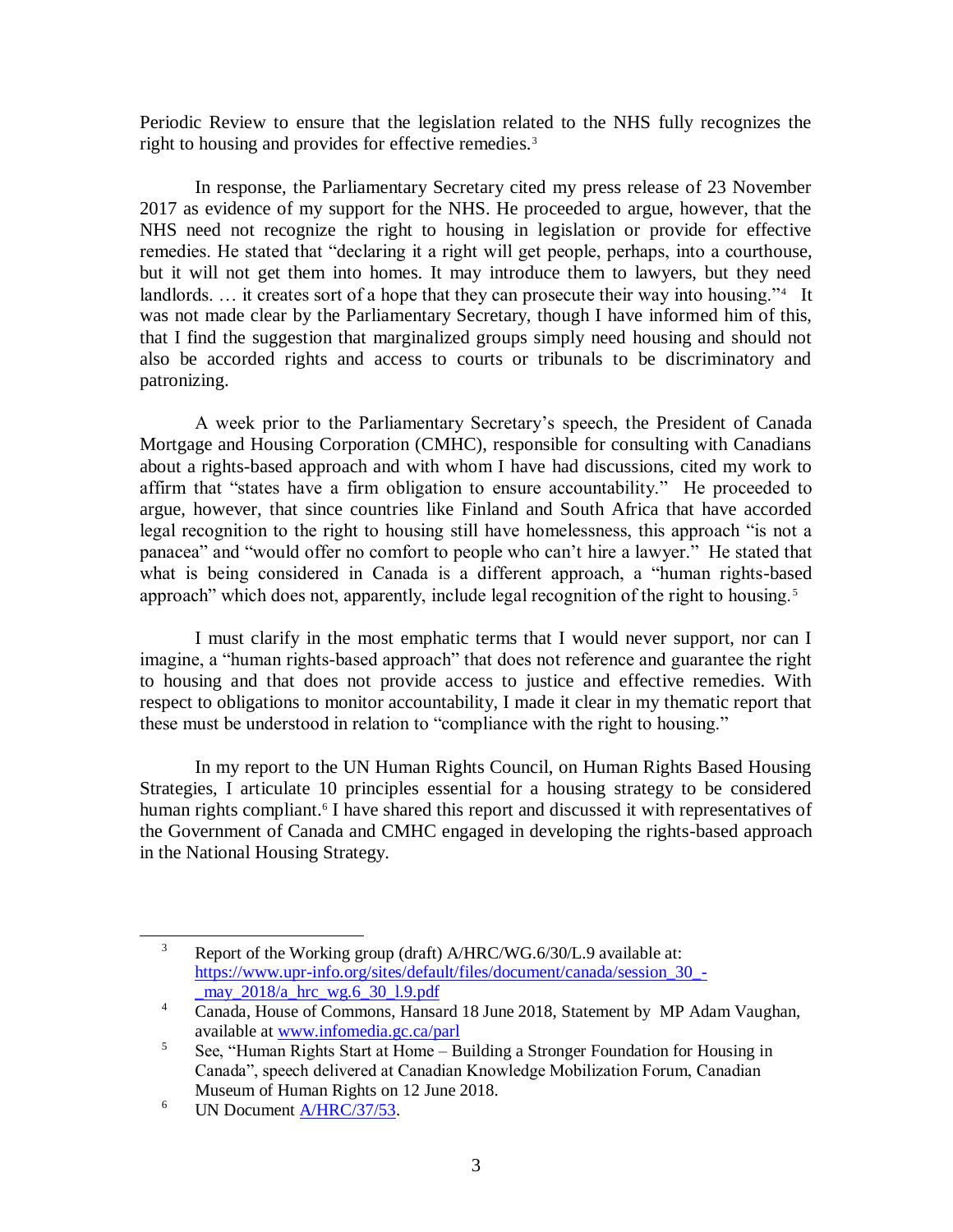Periodic Review to ensure that the legislation related to the NHS fully recognizes the right to housing and provides for effective remedies.<sup>3</sup>

In response, the Parliamentary Secretary cited my press release of 23 November 2017 as evidence of my support for the NHS. He proceeded to argue, however, that the NHS need not recognize the right to housing in legislation or provide for effective remedies. He stated that "declaring it a right will get people, perhaps, into a courthouse, but it will not get them into homes. It may introduce them to lawyers, but they need landlords. ... it creates sort of a hope that they can prosecute their way into housing."<sup>4</sup> It was not made clear by the Parliamentary Secretary, though I have informed him of this, that I find the suggestion that marginalized groups simply need housing and should not also be accorded rights and access to courts or tribunals to be discriminatory and patronizing.

A week prior to the Parliamentary Secretary's speech, the President of Canada Mortgage and Housing Corporation (CMHC), responsible for consulting with Canadians about a rights-based approach and with whom I have had discussions, cited my work to affirm that "states have a firm obligation to ensure accountability." He proceeded to argue, however, that since countries like Finland and South Africa that have accorded legal recognition to the right to housing still have homelessness, this approach "is not a panacea" and "would offer no comfort to people who can't hire a lawyer." He stated that what is being considered in Canada is a different approach, a "human rights-based approach" which does not, apparently, include legal recognition of the right to housing.<sup>5</sup>

I must clarify in the most emphatic terms that I would never support, nor can I imagine, a "human rights-based approach" that does not reference and guarantee the right to housing and that does not provide access to justice and effective remedies. With respect to obligations to monitor accountability, I made it clear in my thematic report that these must be understood in relation to "compliance with the right to housing."

In my report to the UN Human Rights Council, on Human Rights Based Housing Strategies, I articulate 10 principles essential for a housing strategy to be considered human rights compliant.<sup>6</sup> I have shared this report and discussed it with representatives of the Government of Canada and CMHC engaged in developing the rights-based approach in the National Housing Strategy.

l

<sup>&</sup>lt;sup>3</sup> Report of the Working group (draft) A/HRC/WG.6/30/L.9 available at: [https://www.upr-info.org/sites/default/files/document/canada/session\\_30\\_](https://www.upr-info.org/sites/default/files/document/canada/session_30_-_may_2018/a_hrc_wg.6_30_l.9.pdf) may  $2018/a$  hrc wg.6 30 1.9.pdf

<sup>&</sup>lt;sup>4</sup> Canada, House of Commons, Hansard 18 June 2018, Statement by MP Adam Vaughan, available at [www.infomedia.gc.ca/parl](http://www.infomedia.gc.ca/parl)

<sup>5</sup> See, "Human Rights Start at Home – Building a Stronger Foundation for Housing in Canada", speech delivered at Canadian Knowledge Mobilization Forum, Canadian Museum of Human Rights on 12 June 2018.

 $6$  UN Document [A/HRC/37/53.](http://www.undocs.org/A/HRC/37/53)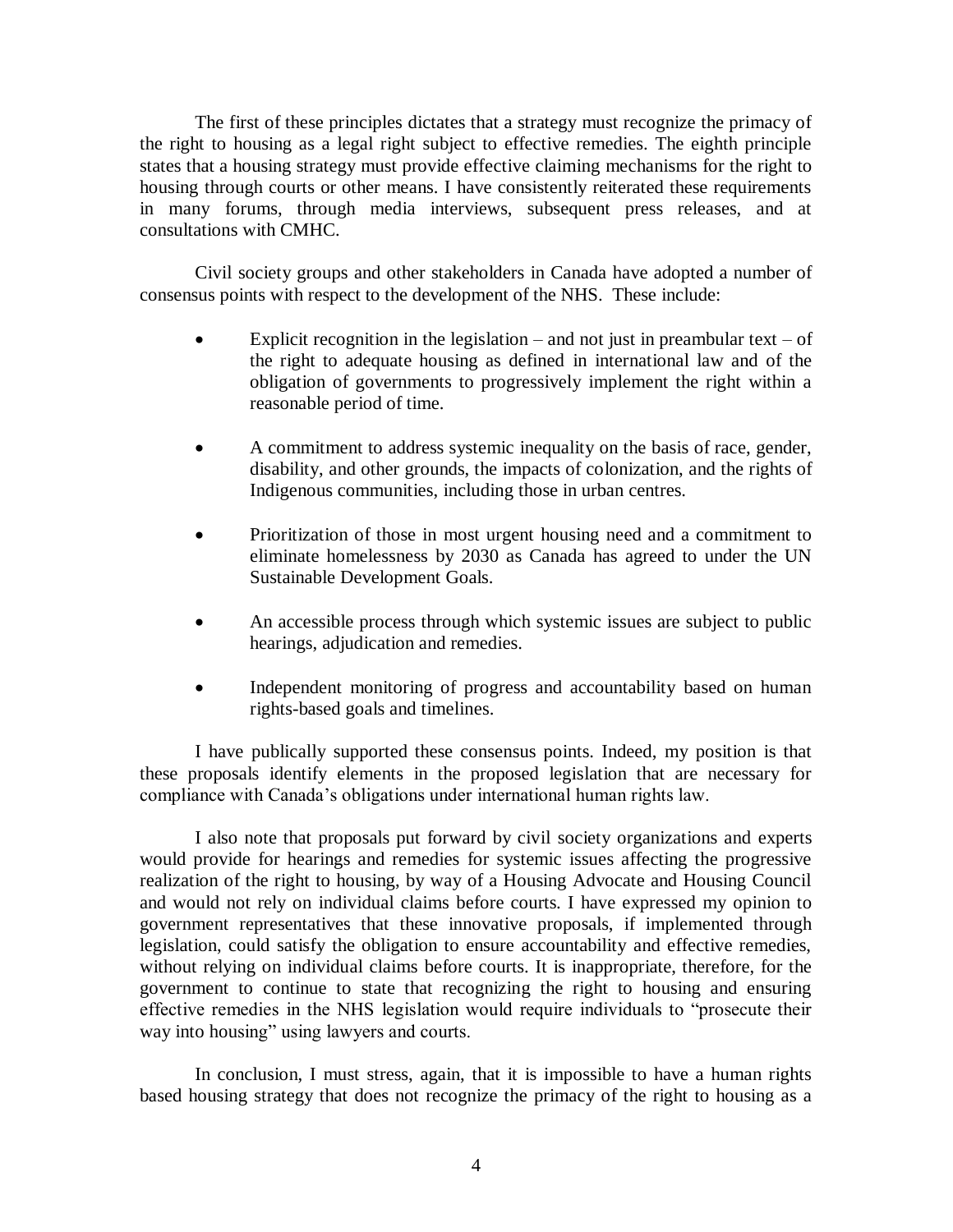The first of these principles dictates that a strategy must recognize the primacy of the right to housing as a legal right subject to effective remedies. The eighth principle states that a housing strategy must provide effective claiming mechanisms for the right to housing through courts or other means. I have consistently reiterated these requirements in many forums, through media interviews, subsequent press releases, and at consultations with CMHC.

Civil society groups and other stakeholders in Canada have adopted a number of consensus points with respect to the development of the NHS. These include:

- Explicit recognition in the legislation and not just in preambular text of the right to adequate housing as defined in international law and of the obligation of governments to progressively implement the right within a reasonable period of time.
- A commitment to address systemic inequality on the basis of race, gender, disability, and other grounds, the impacts of colonization, and the rights of Indigenous communities, including those in urban centres.
- Prioritization of those in most urgent housing need and a commitment to eliminate homelessness by 2030 as Canada has agreed to under the UN Sustainable Development Goals.
- An accessible process through which systemic issues are subject to public hearings, adjudication and remedies.
- Independent monitoring of progress and accountability based on human rights-based goals and timelines.

I have publically supported these consensus points. Indeed, my position is that these proposals identify elements in the proposed legislation that are necessary for compliance with Canada's obligations under international human rights law.

I also note that proposals put forward by civil society organizations and experts would provide for hearings and remedies for systemic issues affecting the progressive realization of the right to housing, by way of a Housing Advocate and Housing Council and would not rely on individual claims before courts. I have expressed my opinion to government representatives that these innovative proposals, if implemented through legislation, could satisfy the obligation to ensure accountability and effective remedies, without relying on individual claims before courts. It is inappropriate, therefore, for the government to continue to state that recognizing the right to housing and ensuring effective remedies in the NHS legislation would require individuals to "prosecute their way into housing" using lawyers and courts.

In conclusion, I must stress, again, that it is impossible to have a human rights based housing strategy that does not recognize the primacy of the right to housing as a